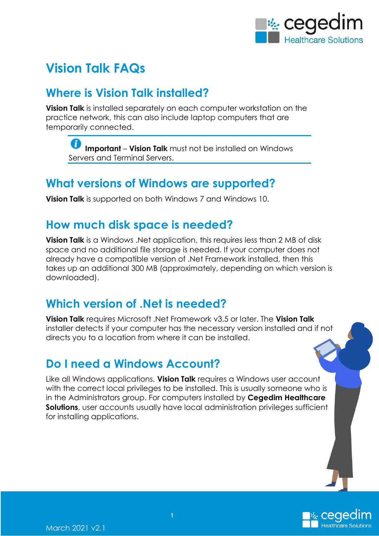

# **Vision Talk FAQs**

#### **Where is Vision Talk installed?**

**Vision Talk** is installed separately on each computer workstation on the practice network, this can also include laptop computers that are temporarily connected.

**Important** – **Vision Talk** must not be installed on Windows Servers and Terminal Servers.

#### **What versions of Windows are supported?**

**Vision Talk** is supported on both Windows 7 and Windows 10.

#### **How much disk space is needed?**

**Vision Talk** is a Windows .Net application, this requires less than 2 MB of disk space and no additional file storage is needed. If your computer does not already have a compatible version of .Net Framework installed, then this takes up an additional 300 MB (approximately, depending on which version is downloaded).

#### **Which version of .Net is needed?**

**Vision Talk** requires Microsoft .Net Framework v3.5 or later. The **Vision Talk** installer detects if your computer has the necessary version installed and if not directs you to a location from where it can be installed.

### **Do I need a Windows Account?**

Like all Windows applications, **Vision Talk** requires a Windows user account with the correct local privileges to be installed. This is usually someone who is in the Administrators group. For computers installed by **Cegedim Healthcare Solutions**, user accounts usually have local administration privileges sufficient for installing applications.

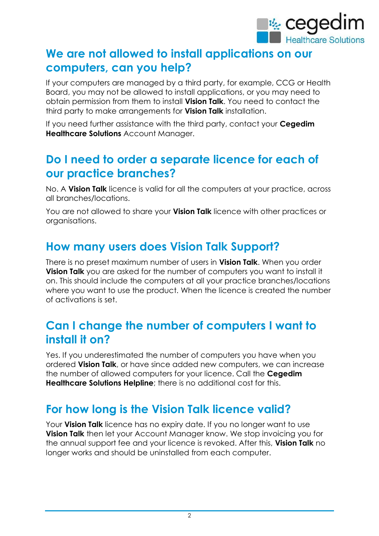

### **We are not allowed to install applications on our computers, can you help?**

If your computers are managed by a third party, for example, CCG or Health Board, you may not be allowed to install applications, or you may need to obtain permission from them to install **Vision Talk**. You need to contact the third party to make arrangements for **Vision Talk** installation.

If you need further assistance with the third party, contact your **Cegedim Healthcare Solutions** Account Manager.

### **Do I need to order a separate licence for each of our practice branches?**

No. A **Vision Talk** licence is valid for all the computers at your practice, across all branches/locations.

You are not allowed to share your **Vision Talk** licence with other practices or organisations.

### **How many users does Vision Talk Support?**

There is no preset maximum number of users in **Vision Talk**. When you order **Vision Talk** you are asked for the number of computers you want to install it on. This should include the computers at all your practice branches/locations where you want to use the product. When the licence is created the number of activations is set.

### **Can I change the number of computers I want to install it on?**

Yes. If you underestimated the number of computers you have when you ordered **Vision Talk**, or have since added new computers, we can increase the number of allowed computers for your licence. Call the **Cegedim Healthcare Solutions Helpline**; there is no additional cost for this.

### **For how long is the Vision Talk licence valid?**

Your **Vision Talk** licence has no expiry date. If you no longer want to use **Vision Talk** then let your Account Manager know. We stop invoicing you for the annual support fee and your licence is revoked. After this, **Vision Talk** no longer works and should be uninstalled from each computer.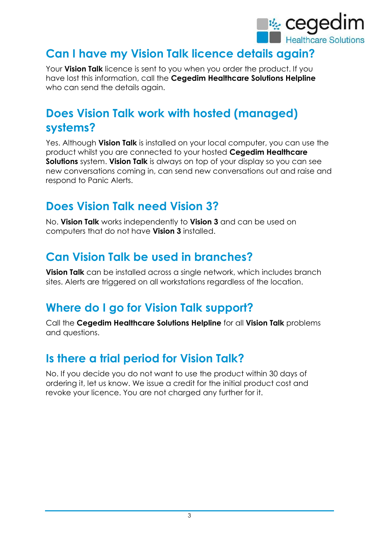

## **Can I have my Vision Talk licence details again?**

Your **Vision Talk** licence is sent to you when you order the product. If you have lost this information, call the **Cegedim Healthcare Solutions Helpline** who can send the details again.

## **Does Vision Talk work with hosted (managed) systems?**

Yes. Although **Vision Talk** is installed on your local computer, you can use the product whilst you are connected to your hosted **Cegedim Healthcare Solutions** system. **Vision Talk** is always on top of your display so you can see new conversations coming in, can send new conversations out and raise and respond to Panic Alerts.

## **Does Vision Talk need Vision 3?**

No. **Vision Talk** works independently to **Vision 3** and can be used on computers that do not have **Vision 3** installed.

### **Can Vision Talk be used in branches?**

**Vision Talk** can be installed across a single network, which includes branch sites. Alerts are triggered on all workstations regardless of the location.

### **Where do I go for Vision Talk support?**

Call the **Cegedim Healthcare Solutions Helpline** for all **Vision Talk** problems and questions.

### **Is there a trial period for Vision Talk?**

No. If you decide you do not want to use the product within 30 days of ordering it, let us know. We issue a credit for the initial product cost and revoke your licence. You are not charged any further for it.